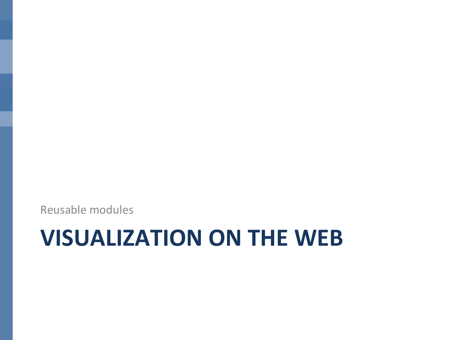Reusable modules

# **VISUALIZATION ON THE WEB**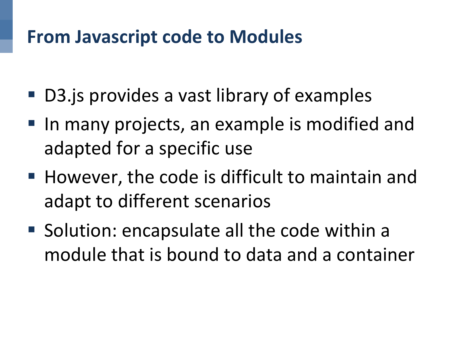#### **From Javascript code to Modules**

- D3. is provides a vast library of examples
- In many projects, an example is modified and adapted for a specific use
- However, the code is difficult to maintain and adapt to different scenarios
- Solution: encapsulate all the code within a module that is bound to data and a container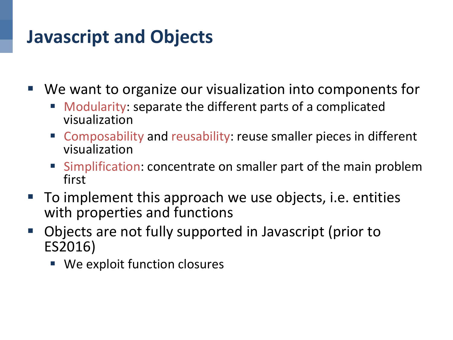## **Javascript and Objects**

 $\blacksquare$  We want to organize our visualization into components for

- Modularity: separate the different parts of a complicated visualization
- Composability and reusability: reuse smaller pieces in different visualization
- Simplification: concentrate on smaller part of the main problem first
- To implement this approach we use objects, i.e. entities with properties and functions
- Objects are not fully supported in Javascript (prior to ES2016)
	- We exploit function closures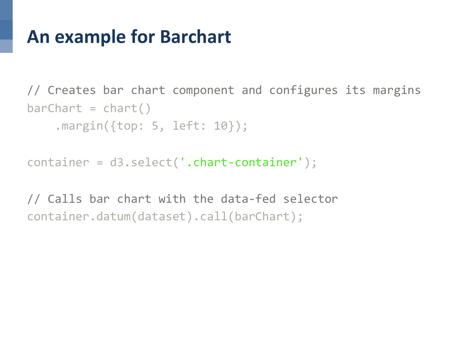#### **An example for Barchart**

// Creates bar chart component and configures its margins  $bar$ Chart =  $char$ () .margin({top: 5, left: 10});

container = d3.select('.chart-container');

// Calls bar chart with the data-fed selector container.datum(dataset).call(barChart);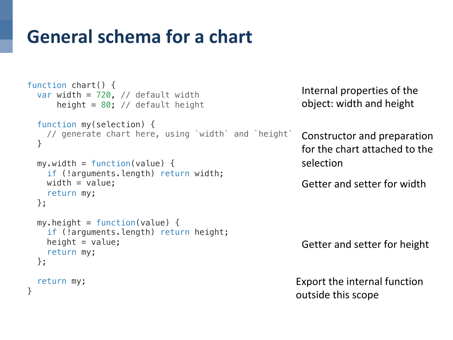## **General schema for a chart**

```
function chart() {
   var width = 720, // default width
      height = 80; // default height
   function my(selection) {
     // generate chart here, using `width` and `height`
   }
 my<u>width = function</u>(value) {if (!arguments.length) return width;
    width = value; return my;
   };
 my. height = function(value) {
     if (!arguments.length) return height;
    height = value; return my;
   };
   return my;
}
                                                           Getter and setter for height
```
Internal properties of the object: width and height

Constructor and preparation for the chart attached to the selection

Getter and setter for width

Export the internal function outside this scope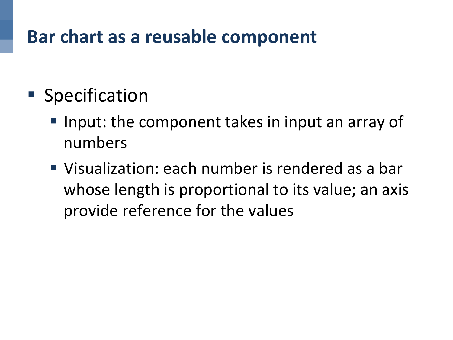## Bar chart as a reusable component

- Specification
	- Input: the component takes in input an array of numbers
	- Visualization: each number is rendered as a bar whose length is proportional to its value; an axis provide reference for the values